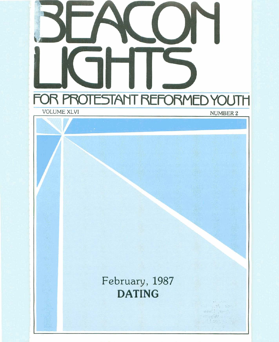

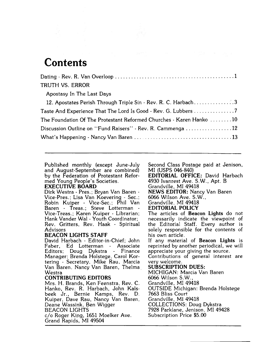### **Contents**

| TRUTH VS. ERROR                                                     |
|---------------------------------------------------------------------|
| Apostasy In The Last Days                                           |
| 12. Apostates Perish Through Triple Sin - Rev. R. C. Harbach3       |
| Taste And Experience That The Lord Is Good - Rev. G. Lubbers 7      |
| The Foundation Of The Protestant Reformed Churches - Karen Hanko 10 |
| Discussion Outline on "Fund Raisers" - Rev. R. Cammenga 12          |
|                                                                     |

Published monthly (except June-July and August-September are combined) by the Federation of Protestant Reformed Young People's Societies.

#### **EXECUTIVE BOARD**

Dirk Westra - Pres.; Bryan Van Baren -<br>Vice-Pres.: Lisa Van Koevering - Sec.; Robin Kuiper - Vice-Sec.; Phil Van Vice-Treas.; Karen Kuiper - Librarian; Hank Vander Wal - Youth Coordinator; Rev. Gritters, Rev. Haak - Spiritual Advisors

### **BEACON LIGHTS STAFF**

David Harbach - Editor-in-Chief; John Faber, Ed Lotterman - Associate Editors; Doug Dykstra - Finance Manager; Brenda Holstege, Carol Kortering - Secretary, Mike Rau, Marcia Van Baren, Nancy Van Baren, Thelma Westra

### **CONTRIBUTING EDITORS**

Mrs. H. Brands, Ken Feenstra, Rev. C. Hanko, Rev. R. Harbach, John Kalsbeek Jr., Bernie Kamps, Rev. D. Kuiper, Dave Rau, Nancy Van Baren, Deane Wassink, Ben Wigger BEACON LIGHTS C/O Roger King, 1651 Moelker Ave. Grand Rapids, MI 49504

Second Class Postage paid at Jenison, MI (USPS 046-840)

**EDITORIAL OFFICE:** David Harbach 4930 Ivanrest Ave. S. W., Apt. B Grandville, MI 49418 **NEWS EDITOR:** Nancy Van Baren 6066 Wilson Ave. S.W., Grandville, MI 49418

### **EDITORIAL POLICY**

The articles of **Beacon Lights** do not necessarily indicate the viewpoint of the Editorial Staff. Every author is solely responsible for the contents of his own article.

If any material of **Beacon Lights** is reprinted by another periodical, we will appreciate your giving the source.

Contributions of general interest are very welcome.

#### **SUBSCRIPTION DUES:**

MICHIGAN: Marcia Van Baren 6066 Wilson S. W., Grandville, MI 49418 OUTSIDE Michigan: Brenda Holstege **7663** Bliss Court Grandville, MI 49418 COLLECTIONS: Doug Dykstra 7928 Parklane, Jenison, MI 49428 Subscription Price \$5.00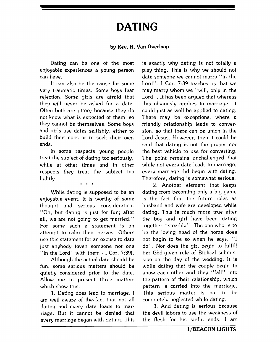## **DATING**

### **by Rev. R. Van Overloop**

Dating can be one of the most enjoyable experiences a young person can have.

It can also be the cause for some very traumatic times. Some boys fear rejection. Some girls are afraid that they will never be asked for a date. Often both are jittery because they do not know what is expected of them, so they cannot be themselves. Some boys and girls use dates selfishly, either to build their egos or to seek their own ends.

In some respects young people treat the subject of dating too seriously, while at other times and in other respects they treat the subject too lightly.

*8* 

While dating is supposed to be an enjoyable event, it is worthy of some thought and serious consideration. "Oh, but dating is just for fun; after all, we are not going to get married.'' For some such a statement is an attempt to calm their nerves. Others use this statement for an excuse to date just anybody (even someone not one "in the Lord" with them - I Cor. 7:39).

Although the actual date should be fun, some serious matters should be quietly considered prior to the date. Allow me to present three matters which show this.

1. Dating does lead to marriage. I am well aware of the-fact that not all dating and every date leads to marriage. But it cannot be denied that every marriage began with dating. This

is exactly why dating is not totally a play thing. This is why we should not date someone we cannot marry "in the Lord". I Cor. 7:39 teaches us that we may marry whom we "will. only in the Lord". It has been argued that whereas this obviously applies to marriage, it could just as well be applied to dating. There may be exceptions, where a friendly relationship leads to conversion, so that there can be union in the Lord Jesus. However, then it could be said that dating is not the proper nor the best vehicle to use for converting. The point remains unchallenged that while not every date leads to marriage, every marriage did begin with dating. Therefore, dating is somewhat serious.

2. Another element that keeps dating from becoming only a big game is the fact that the future roles as husband and wife are developed while dating. This is much more true after the boy and girl have been dating together "steadily". The one who is to be the loving head of the home does not begin to be so when he says, "I do". Nor does the girl begin to fulfill her God-given role of Biblical submission on the day of the wedding. It is while dating that the couple begin to know each other and they "fall" into the pattern of their relationship, which pattern is carried into the marriage. This serious matter is not to be completely neglected while dating.

**3.** And dating is serious because the devil labors to use the weakness of the flesh for his sinful ends. I am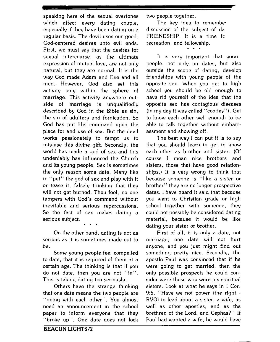speaking here of the sexual overtones which affect every dating couple, especially if they have been dating on a regular basis. The devil uses our good, God-centered desires unto evil ends. First, we must say that the desires for sexual intercourse, as the ultimate expression of mutual love, are not only natural, but they are normal. It is the way God made Adam and Eve and all men. However, God also set this activity only within the sphere of marriage. This activity anywhere outside of marriage is unqualifiedly described by God in the Bible as sin, the sin of adultery and fornication. So God has put His command upon the place for and use of sex. But the devil works passionately to tempt us to mis-use this divine gift. Secondly, the world has made a god of sex and this undeniably has influenced the Church and its young people. Sex is sometimes the only reason some date. Many like to "pet" the god of sex and play with it or tease it, falsely thinking that they will not get burned. Thou fool, no one tampers with God's command without inevitable and serious repercussions. So the fact of sex makes dating a serious subject.

On the other hand, dating is not as serious as it is sometimes made out to be.

**0.1** 

Some young people feel compelled to date, that it is required of them at a certain age. The thinking is that if you do not date, then you are not "in". This is taking dating too seriously.

Others have the strange thinking that one date means the two people are "going with each other". You almost need an announcement in the school paper to inform everyone that they "broke up". One date does not lock two people together.

The key idea to remembe' discussion of the subject of da FRIENDSHIP. It is a time fc recreation, and fellowship. \*

It is very important that youn people, not only on dates, but also outside the scope of dating, develop friendships with young people of the opposite sex. When you get to high school you should be old enough to have rid yourself of the idea that the opposite sex has contagious diseases (in my day it was called "cooties"). Get to know each other well enough to be able to talk together without embarrassment and showing off.

The best way I can put it is to say that you should learn to get to know each other as brother and sister. (Of course I mean nice brothers and sisters, those that have good relationships.) It is very wrong to think that because someone is "like a sister or brother" they are no longer prospective dates. I have heard it said that because you went to Christian grade or high school together with someone, they could not possibly be considered dating material, because it would be like dating your sister or brother.

First of all, it is only a date, not marriage; one date will not hurt anyone, and you just might find out something pretty nice. Secondly, the apostle Paul was convinced that if he were going to get married, then the only possible prospects he could consider were those who were his spiritual sisters. Look at what he says in I Cor. **9:5,** "Have we not power (the right - RVO) to lead about a sister, a wife, as well as other apostles, and as the brethren of the Lord, and Cephas?" If Paul had wanted a wife, he would have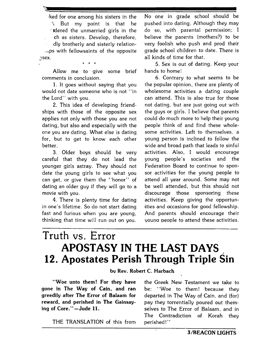ked for one among his sisters in the ' But my point is that he tdered the unmarried girls in the ch as sisters. Develop, therefore, dly brotherly and sisterly relation- .~.ps with fellowsaints of the opposite - 'sex.

Allow me to give some brief comments in conclusion.

\*\*\* **I** 

1. It goes without saying that you would not date someone who is not "in the Lord" with you.

2. This idea of developing friendships with those of the opposite sex applies not only with those you are not dating, but also and especially with the one you are dating. What else is dating for, but to get to know each other better.

**3.** Older boys should be very careful that they do not lead the younger girls astray. They should not date the young girls to see what you can get, or give them the "honor" of dating an older guy if they will go to a movie with you.

4. There is plenty time for dating in one's lifetime. So do not start dating fast and furious when you are young, thinking that time will run out on you. No one in grade school should be pushed into dating. Although they may do so, with parental permission: I believe the parents (mothers?) to be very foolish who push and prod their grade school children to date. There is all kinds of time for that.

5. Sex is out of dating. Keep your hands to home!

6. Contrary to what seems to be the popular opinion, there are plenty of wholesome activities a dating couple can attend. This is also true for those not dating, but are just going out with the guys or girls. I believe that parents could do much more to help their young people think of and find these wholesome activities. Left to themselves, a young person is inclined to follow the wide and broad path that leads to sinful activities. Also, I would encourage young people's societies and the Federation Board to continue to sponsor activities for the young people to attend all year around. Some may not be well attended, but this should not discourage those sponsoring these activities. Keep giving the opportunities and occasions for good fellowship. And parents should encourage their voung people to attend these activities.

### Truth vs. Error **APOSTASY IN THE LAST DAYS 12. Apostates Perish Through Triple Sin**

**bv Rev. Robert C. Harbach** 

**THE** TRANSLATION of this from perished!"

**"Woe unto them! For they have** the Greek New Testament we take to **gone in The Way of Cain, and ran** be: "Woe to them! because they **greedily after The Error of Balaam for** departed in The Way of Cain, and (for) **reward, and perished in The Gainsay-** pay they torrentially poured out them**ing of Core."-Jude 11.** selves to The Error of Balaam, and in The Contradiction of Korah they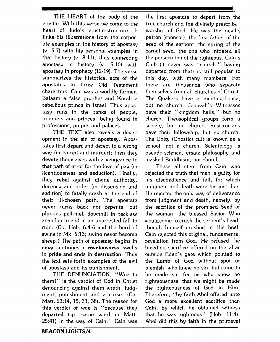epistle. With this verse we come to the true church and the divinely prescribe heart of Jude's epistle-structure. It worship of God. He was the devil's links his illustrations from the corpor- patron (sponsor), the first father of the ate examples in the history of apostasy seed of the serpent, the spring of the (v. 5-7) with his personal examples in carnal seed, the one who initiated all that history (v. 8-11), thus connecting the persecution of the righteous. Cain's apostasy in history (v. 5-10) with Club (it never was "church," having apostasy in prophecy (12-19). The verse departed from that) is still popular to summarizes the historical acts of the this day, with many members. For apostates in three Old Testament there are thousands who separate characters. Cain was a worldly farmer, themselves from all churches of Christ. Balaam a false prophet and Korah a The Quakers have a meeting-house, rebellious prince in Israel. Thus apos- but no church. Jehovah's Witnesses tasy runs in the ranks of people, have their "kingdom halls," but no prophets and princes, being found in church. Theosophical groups form a professions, pulpits and palaces. society, but no church. Rosicrucians

opment in the sin of apostasy. Apos- The Unity (Gnostic) cult is known as **a**  tates first depart and defect to a wrong school, not a church. Scientology is way (in hatred and murder); then they pseudo-science, ersatz philosophy and devote themselves with a vengeance to masked Buddhism, not church. that path of error for the love of pay (in These all stem from Cain who licentiousness and seduction). Finally, rejected the truth that man is guilty for they rebel against divine authority, his disobedience and fall, for which decency and order (in dissension and judgment and death were his just due. sedition) to fatally crash at the end of He rejected the only way of deliverance their ill-chosen path. The apostate from judgment and death, namely, by never turns back nor repents, but the sacrifice of the promised Seed of plunges pell-mell downhill in reckless the woman, the blessed Savior Who abandon to end in an unarrested fall to wouldcome to crush the serpent's head, ruin. (Cp. Heb. 6:4-6 and the herd of though himself crushed in His heel. swine in Mk. 5:13; swine never become Cain rejected this original, fundamental sheep!) The path of apostasy begins in revelation from God. He refused the **envy,** continues in cavetousness, swells bleeding sacrifice offered on the altar in pride and ends in destruction. Thus outside Eden's gate which pointed to the text sets forth examples of the evil the Lamb of God without spot or of apostasy and its punishment. blemish, who knew no sin, but came to

them! " is the verdict of God in Christ righteousness, that we might be made denouncing against them wrath, judg- the righteousness of God in Him. ment, punishment and a curse. (Cp. Therefore, "by faith Abel offered unto Matt. 23:14, 15, 33, **38).** The reason for God a more excellent sacrifice than this verdict of woe is "because they Cain, by which he obtained witness departed (cp. same word in Matt. that he was righteous" (Heb. **11:4).**  25:41) in the way of Cain." Cain was Abel did this by faith in the primeval

THE HEART of the body of the the first apostate to depart from the Club (it never was "church." having **THE** TEXT also reveals a devel- have their fellowship, but no church.

**t.** 

THE DENUNCIATION, "Woe to be made sin for us who knew no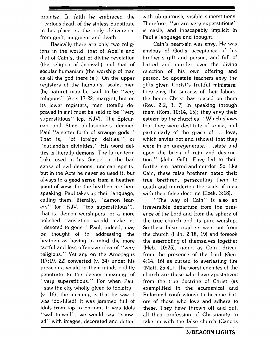promise. In faith he embraced the 2arious death of the sinless Substitute in his place as the only deliverance from guilt, judgment and death.

Basically there are only two religions in the world, that of Abel's and that of Cain's, that of divine revelation (the religion of Jehovah) and that of secular humanism (the worship of man as all the god there is!). On the upper registers of the humanist scale, men (by nature) may be said to be "very religious" (Acts 17:22, margin), but on its lower registers, men (totally depraved in sin) must be said to be "very superstitious" (cp. KJV). The Epicurean and Stoic philosophers deemed Paul "a setter forth of **strange gods,"**  That is, "of foreign deities," or "outlandish divinities." His word **deities** is literally **demons.** The latter term Luke used in his Gospel in the bad sense of evil demons, unclean spirits, but in the Acts he never so used it, but always in a **good sense from a heathen point of view,** for the heathen are here speaking. Paul takes up their language, calling them, literally, "demon fearers" (or. KJV, "too superstitious"), that is, demon worshipers. or a more polished translation would make it, "devoted to gods." Paul, indeed, may be thought of in addressing the heathen as having in mind the more tactful and less offensive idea of "very religious." Yet any on the Areopagus (17:19, 22) converted (v. **34)** under his preaching would in their minds rightly penetrate to the deeper meaning of "very superstitious." For when Paul "saw the city wholly given to idolatry" (v. 16), the meaning is that he saw it was idol-filled! It was jammed full of idols from top to bottom; it was idols ''wall-to-wall"; we would say "snowed" with images, decorated and dotted with ubiquitously visible superstitions. Therefore, "ye are very superstitious" is easily and inescapably implicit in Paul's language and thought.

Cain's heart-sin was **envy.** He was envious of God's acceptance of his brother's gift and person, and full of hatred and murder over the divine rejection of his own offering and person. So apostate teachers envy the gifts given Christ's fruitful ministers; they envy the success of their labors. the honor Christ has placed on them (Rev. 2:2, 3, 7) in speaking through them (Rom. 10:14, 15); they envy their esteem by the churches. "Which shows that they were destitute of grace, and particularly of the grace of. . .love, which envies not and (shows) that they were in an unregenerate. . .state and upon the brink of ruin and destruction." (John Gill). Envy led to their further sin, hatred and murder. So, like Cain, these false brethren hated their true brethren, persecuting them to death and murdering the souls of men with their false doctrine (Ezek. **3:18).** 

"The way of Cain" is also an irreversible departure from the presence of the Lord and from the sphere of the true church and its pure worship. So these false prophets went out from the church (I Jn. 2:18, 19) and forsook the assembling of themselves together (Heb. 10:25), going as Cain, driven from the presence of the Lord (Gen. 4:14, 16) as cursed to everlasting fire (Matt. 25:41). The worst enemies of the church are those who have apostatized from the true doctrine of Christ (as exemplified in the ecumenical and Reformed confessions) to become haters of those who love and adhere to these. They have thrown off and quit all their profession of Christianity to take up with the false church (Canons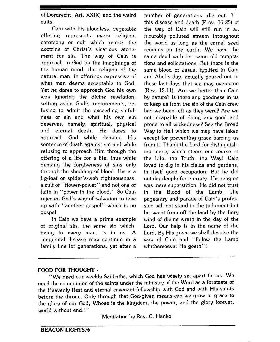of Dordrecht, Art. XXIX) and the weird cults.

Cain with his bloodless, vegetable offering represents every religion, ceremony or cult which rejects the doctrine of Christ's vicarious atonement for sin. The way of Cain is approach to God by the imaginings of the human mind, the religion of the natural man, in offerings expressive of what man deems acceptable to God. Yet he dares to approach God his own way ignoring the divine revelation, setting aside God's requirements, refusing to admit the exceeding sinfulness of sin and what his own sin. deserves, namely, spiritual, physical and eternal death. He dares to approach God while denying His sentence of death against sin and while refusing to approach Him through the offering of a life for a life, thus while denying the forgiveness of sins only through the shedding of blood. His is a fig-leaf or spider's-web righteousness, a cult of "flower-power" and not one of faith in "power in the blood." So Cain rejected God's way of salvation to take up with "another gospel" which is no gospel.

In Cain we have a prime example of original sin, the same sin which, being in every man, is in us. A congenital disease may continue in a family line for generations, yet after a

number of generations, die out. Y this disease and death (Prov. 16:25) of the way of Cain will still run in a,. incurably polluted stream throughout the world as long as the carnal seed remains on the earth. We have the same devil with his same old temptations and solicitations. But there is the same blood of Jesus, typified in Cain and Abel's day, actually poured out in these last days that we may overcome (Rev. 12:ll). Are we better than Cain by nature? Is there any goodness in us to keep us from the sin of the Cain crew had we been left as they were? Are we not incapable of doing any good and prone to all wickedness? See the Broad Way to Hell which we may have taken except for preventing grace barring us from it. Thank the Lord for distinguishing mercy which steers our course in the Life, the Truth, the Way! Cain loved to dig in his fields and gardens, in itself good occupation. But he did not dig deeply for eternity. His religion was mere superstition. He did not trust in the Blood of the Lamb. The pageantry and parade of Cain's profession will not stand in the judgment but be swept from off the land by the fiery wind of divine wrath in the day of the Lord. Our help is in the name of the Lord. By His grace we shall despise the way of Cain and "follow the Lamb whithersoever He goeth"!

### **FOOD FOR THOUGHT** -

"We need our weekly Sabbaths. which God has wisely set apart for us. We need the communion of the saints under the ministry of the Word as a foretaste of the Heavenly Rest and eternal covenant fellowship with God and with His saints before the throne. Only through that God-given means can we grow in grace to the glory of our God, Whose is the kingdom, the power, and the glory forever, world without end.!"

Meditation by Rev. C. Hanko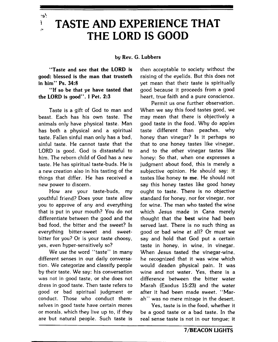∤و÷ ĩ  $\mathbf{r}$ 

# **TASTE AND EXPERIENCE THAT THE LORD IS GOOD**

by Rev. *G.* Lubbers

"Taste and see that the **LORD** is good: blessed is the **man** that trusteth in him" Ps. **34:8** 

**"If** so be that ye have tasted that the **LORD** is good". I Pet. 2:3

Taste is a gift of God to man and beast. Each has his own taste. The animals only have physical taste. Man has both a physical and a spiritual taste. Fallen sinful man only has a bad, sinful taste. He cannot taste that the LORD is good. God is distasteful to him. The reborn child of God has a new taste. He has spiritual taste-buds. He is a new creation also in his tasting of the things that differ. He has received a new power to discern.

How are your taste-buds, my youthful friend? Does your taste allow you to approve of any and everything that is put in your mouth? You do not differentiate between the good and the bad food, the bitter and the sweet? Is everything bitter-sweet and sweetbitter for you? Or is your taste choosy, yes, even hyper-sensitively so?

We use the word "taste" in many different senses in our daily conversation. We categorize and classify people by their taste. We say: his conversation was not in good taste, or she does not dress in good taste. Then taste refers to good or bad spiritual judgment or conduct. Those who conduct themselves in good taste have certain mores or morals, which they live up to, if they are but natural people. Such taste is

then acceptable to society without the raising of the eyelids. But this does not yet mean that their taste is spiritually good because it proceeds from a good heart, true faith and a pure conscience.

Permit us one further observation. When we say this food tastes good, we may mean that there is objectively a good taste in the food. Why do apples taste 'different than peaches, why honey than vinegar? Is it perhaps so that to one honey tastes like vinegar, and to the other vinegar tastes like honey: So that, when one expresses a judgment about food, this is merely a subjective opinion. He should say: it tastes like honey to me. He should not say this honey tastes like good honey ought to taste. There is no objective standard for honey, nor for vinegar, nor for wine. The man who tasted the wine which Jesus made in Cana merely thought that the best wine had been served last. There is no such thing as good or bad wine at all? Or must we say and hold that God put a certain taste in honey, in wine, in vinegar. When Jesus tasted the vinegar-wine. he recognized that it was wine which would deaden physical pain. It was wine and not water. Yes, there is a difference between the bitter water Marah (Exodus **15:23)** and the water after it had been made sweet. "Marah" was no mere mirage in the desert.

Yes, taste is in the food, whether it be a good taste or a bad taste. In the real sense taste is not in our tongue; it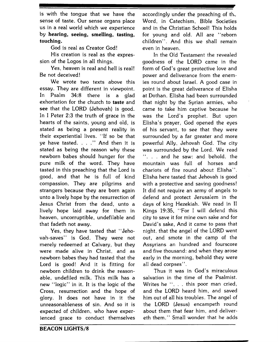is with the tongue that we have the sense of taste. Our sense organs place us in a real world which we experience by **hearing, seeing, smelling, tasting, touching.** 

God is real as Creator God!

His creation is real as the expression of the Logos in all things.

Yes, heaven is real and hell is real! Be not deceived!

We wrote two texts above this essay. They are different in viewpoint. In Psalm **34:8** there is a glad exhortation for the church to **taste** and **see** that the LORD (Jehovah) is good. In I Peter 2:3 the truth of grace in the hearts of the saints, young and old, is stated as being a present reality in their experiential lives. "If so be that ye have tasted. . . ." And then it is stated as being the reason why these newborn babes should hunger for the pure milk of the word. They have tasted in this preaching that the Lord is good, and that he is full of kind compassion. They are pilgrims and strangers because they are born again unto a lively hope by the resurrection of Jesus Christ from the dead, unto a lively hope laid away for them in heaven, uncorruptible, undefilable and that fadeth not away.

Yes, they have tasted that "Jehovah-saves" is God. They were not merely redeemed at Calvary, but they were made alive in Christ, and as newborn babes they had tasted that the Lord is good! And it is fitting for newborn children to drink the reasonable, undefiled milk. This milk has a new "logic" in it. It is the logic of the Cross, resurrection and the hope of glory. It does not have in it the unreasonableness of sin. And so it is expected of children, who have experienced grace to conduct themselves accordingly under the preaching of the Word, in Catechism, Bible Societies and in the Christian School! This holds for young and old. All are "reborn children". And this we shall remain even in heaven.

In the Old Testament the revealed goodness of the LORD came in the form of God's great protective love and power and deliverance from the enemies round about Israel. A good case in point is the great deliverance of Elisha at Dothan. Elisha had been surrounded that night by the Syrian armies, who came to take him captive because he was the Lord's prophet. But upon Elisha's prayer, God opened the eyes of his servant, to see that they were surrounded by a far greater and more powerful Ally, Jehovah God. The city was surrounded by the Lord. We read . . . and he saw: and behold. the mountain was full of horses and chariots of fire round about Elisha". Elisha here tasted that Jehovah is good with a protective and saving goodness! It did not require an army of angels to defend and protect Jerusalem in the days of king Hezekiah. We read in I1 Kings **19:35,** "For I will defend this city to save it for mine own sake and for David's sake, And it came to pass that night, that the angel of the LORD went out, and smote in the camp of the Assyrians an hundred and fourscore and five thousand: and when they arose early in the morning, behold they were all dead corpses".

Thus it was in God's miraculous salvation in the time of the Psalmist. Writes he ". . . this poor man cried, and the LORD heard him, and saved him out of all his troubles. The angel of the LORD (Jesus) encampeth round about them that fear him, and delivereth them." Small wonder that he adds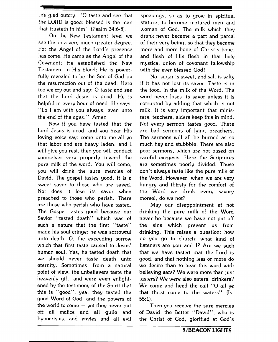.;I. 31ad outcry, "0 taste and see that the LORD is good: blessed is the man that trusteth in him" (Psalm 34:6-8).

On the New Testament level we see this in a very much greater degree. For the Angel of the Lord's presence has come. He came as the Angel of the Covenant; He established the New Testament in His blood: He is powerfully revealed to be the Son of God by the resurrection out of the dead. Here too we cry out and say: 0 taste and see that the Lord Jesus is good. He is helpful in every hour of need. He says, "Lo I am with you always, even unto the end of the ages." Amen

Now if you have tasted that the Lord Jesus is good, and you hear His loving voice say: come unto me all ye that labor and are heavy laden, and I will give you rest, then you will conduct yourselves very properly toward the pure milk of the word. You wiil come, you will drink the sure mercies of David. The gospel tastes good. It is a sweet savor to those who are saved. Nor does it lose its savor when preached to those who perish. There are those who perish who have tasted. The Gospel tastes good because our Savior "tasted death" which was of such a nature that the first "taste" made his soul cringe; he was sorrowful unto death. 0, the exceeding sorrow which that first taste caused to Jesus' human soul. Yes, he tasted death that we should never taste death unto eternity. Sometimes, from a natural point of view, the unbelievers taste the heavenly gift, and were even enlightened by the testimony of the Spirit that this is "good"; yea, they tasted the good Word of God, and the powers of the world to come  $-$  yet they never put off all malice and all guile and hypocrisies, and envies and all evil

speakings, so as to grow in spiritual stature. to become matured men and women of God. The milk which they drank never became a part and parcel of their very being, so that they became more and more bone of Christ's bone, and flesh of His flesh in that holy mystical union of covenant fellowship with the ever blessed God!

No, sugar is sweet, and salt is salty if it has not lost its savor. Taste is in the food, in the milk of the Word. The word never loses its savor unless it is corrupted by adding that which is not milk. It is very important that ministers, teachers, elders keep this in mind. Not every sermon tastes good. There are bad sermons of lying preachers. The sermons will all be burned as so much hay and stubbble. There are also poor sermons, which are not based on careful exegesis. Here the Scriptures are sometimes poorly divided. These don't always taste like the pure milk of the Word, However, when we are very hungry and thirsty for the comfort of the Word we drink every savory morsel, do we not?

May our disappointment at not drinking the pure milk of the Word never be because we have not put off the sins which prevent us from drinking. This raises a question: how do you go to church; what kind of listeners are you and I? Are we such that we have tasted rnat the Lord is good, and that nothing less or more do we desire than to hear this word with believing ears? We were more than just tasters? We were also eaters, drinkers? We come and heed the call "O all ye that thirst come to the waters" (Is. 55: 1).

Then you receive the sure mercies of David, the Better "David", who is the Christ of God, glorified at God's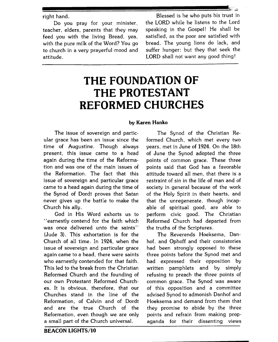teacher, elders. parents that they may speaking in the Gospel! He shall be feed you with the living Bread, yea, satisfied, as the poor are satisfied with with the pure milk of the Word? You go to church in a very prayerful mood and suffer hunger: but they that seek the attitude. LORD shall not want any good thing!

right hand. Blessed is he who puts his trust in Do you pray for your minister, the LORD while he listens to the Lord

## **THE FOUNDATION OF THE PROTESTANT REFORMED CHURCHES**

### **by Karen Hanko**

The issue of sovereign and particular grace has been an issue since the time of Augustine. Though always present, this issue came to a head again during the time of the Reformation and was one of the main issues of the Reformation. The fact that this issue of sovereign and particular grace came to a head again during the time of the Synod of Dordt proves that Satan never gives up the battle to make the Church his ally.

God in His Word exhorts us to "earnestly contend for the faith which was once delivered unto the saints" (Jude **3).** This exhortation is for the Church of all time. In 1924, when the issue of sovereign and particular grace again came to a head, there were saints who earnestly contended for that faith. This led to the break from the Christian Reformed Church and the founding of our own Protestant Reformed Churches. It is obvious, therefore, that our Churches stand in the line of the Reformation, of Calvin and of Dordt and are the true Church of the Reformation, even though we are only a small part of the Church universal.

The Synod of the Christian Reformed Church, which met every two years, met in June of 1924. On the 18th of June the Synod adopted the three points of common grace. These three points said that God has a favorable attitude toward all men, that there is a restraint of sin in the life of man and of society in general because of the work of the Holy Spirit in their hearts, and that the unregenerate, though incapable of spiritual good, are able to perform civic good. The Christian Reformed Church had departed from the truths of the Scriptures.

The Reverends Hoeksema, Danhof, and Ophoff and their consistories had been strongly opposed to these three points before the Synod met and had expressed their opposition by written pamphlets and by simply refusing to preach the three points of common grace, The Synod was aware of this opposition and a committee advised Synod to admonish Danhof and Hoeksema and demand from them that they promise to abide by the three points and refrain from making propaganda for their dissenting views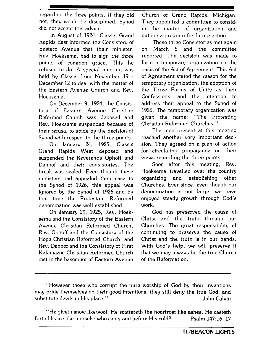regarding the three points. If they did not, they would be disciplined. Synod did not accept this advice.

In August of 1924, Classis Grand Rapids East informed the Consistory of Eastern Avenue that their minister, Rev. Hoeksema. had to sign the three points of common grace. This he refused to do. A special meeting was held by Classis from November 19 -December 12 to deal with the matter of the Eastern Avenue Church and Rev. Hoeksema.

On December 9, 1924, the Consistory of Eastern Avenue Christian Reformed Church was deposed and Rev. Hoeksema suspended because of their refusal to abide by the decision of Synod with respect to the three points.

On January 24, 1925, Classis Grand Rapids West deposed and suspended the Reverends Ophoff and Danhof and their consistories. The break was sealed. Even though these ministers had appealed their case to the Synod of 1926, this appeal was ignored by the Synod of 1926 and by that time the Protestant Reformed denomination was well established.

On January 29, 1925, Rev. Hoeksema and the Consistory of the Eastern Avenue Christian Reformed Church, Rev. Ophoff and the Consistory of the Hope Christian Reformed Church, and Rev. Danhof and the Consistory of First Kalamazoo Christian Reformed Church met in the basement of Eastern Avenue Church of Grand Rapids, Michigan. They appointed a committee to consider the matter of organization and outline a program for future action.

These three Consistories met again on March 6 and the committee reported. The decision was made to form a temporary organization on the basis of the Act of Agreement. This Act of Agreement stated the reason for the temporary organization, the adoption of the Three Forms of Unity as their Confessions, and the intention to address their appeal to the Synod of 1926. The temporary organization was given the name: "The Protesting Christian Reformed Churches. "

The men present at this meeting reached another very important decision. They agreed on a plan of action for circulating propaganda on their views regarding the three points.

Soon after this meeting, Rev. Hoeksema travelled over the country organizing and establishing other Churches. Ever since, even though our denomination is not large, we have enjoyed steady growth through God's work.

God has preserved the cause of Christ and the truth through our Churches. The great responsibility of continuing to preserve the cause of Christ and the truth is in our hands. With God's help, we will preserve it that we may always be the true Church of the Reformation.

<sup>&</sup>quot;However those who corrupt the pure worship of God by their inventions may pride themselves on their good intentions, they still deny the true God, and substitute devils in His place." And the substitute devils in His place. "

<sup>&</sup>quot;He giveth snow likewool: He scattereth the hoarfrost like ashes. He casteth forth His ice like morsels: who can stand before His cold? Psalm 147:16, 17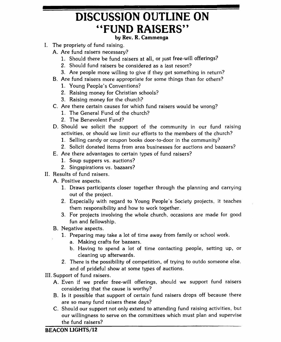# **DISCUSSION OUTLINE ON "FUND RAISERS"**

### **by Rev. R. Cammenga**

- I. The propriety of fund raising.
	- A. Are fund raisers necessary?
		- 1. Should there be fund raisers at all, or just free-will offerings?
		- 2. Should fund raisers be considered as a last resort?
		- **3.** Are people more willing to give if they get something in return?
	- B. Are fund raisers more appropriate for some things than for others?
		- 1. Young People's Conventions?
		- 2. Raising money for Christian schools?
		- **3.** Raising money for the church?
	- C. Are there certain causes for which fund raisers would be wrong?
		- 1. The General Fund of the church?
		- 2. The Benevolent Fund?
	- D. Should we solicit the support of the community in our fund raising activities, or should we limit our efforts to the members of the church?
		- 1. Selling candy or coupon books door-to-door in the community?
		- 2. Solicit donated items from area businesses for auctions and bazaars?
	- E. Are there advantages to certain types of fund raisers?
		- 1. Soup suppers vs. auctions?
		- 2. Singspirations vs. bazaars?
- **11.** Results of fund raisers.
	- A. Positive aspects.
		- 1. Draws participants closer together through the planning and carrying out of the project.
		- 2. Especially with regard to Young People's Society projects, it teaches them responsibility and how to work together.
		- **3.** For projects involving the whole church, occasions are made for good fun and fellowship.
	- B. Negative aspects.
		- **1.** Preparing may take a lot of time away from family or school work.
			- a. Making crafts for bazaars.
			- b. Having to spend a lot of time contacting people, setting up, or cleaning up afterwards.
		- 2. There is the possibility of competition, of trying to outdo someone else. and of prideful show at some types of auctions.
- 111. Support of fund raisers.
	- A. Even if we prefer free-will offerings, should we support fund raisers considering that the cause is worthy?
	- B. Is it possible that support of certain fund raisers drops off because there are so many fund raisers these days?
	- C. Should our support not only extend to attending fund raising activities, but our willingness to serve on the committees which must plan and supervise the fund raisers?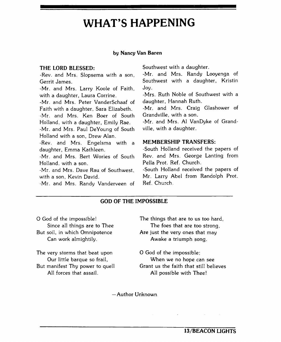## **WHAT'S HAPPENING**

#### **by Nancy Van Baren**

### **THE LORD BLESSED:**

-Rev. and Mrs. Slopsema with a son, Gerrit James.

-Mr. and Mrs. Larry Koole of Faith, with a daughter, Laura Corrine.

-Mr. and Mrs. Peter VanderSchaaf of Faith with a daughter, Sara Elizabeth. -Mr. and Mrs. Ken Boer of South Holland, with a daughter, Emily Rae.

-Mr. and Mrs. Paul DeYoung of South Holland with a son, Drew Alan.

-Rev. and Mrs. Engelsma with a **MEMBERSHIP TRANSFERS:**  daughter, Emma Kathleen.  $\blacksquare$  -South Holland received the papers of

Holland, with a son.<br>-Mr and Mrs. Dave Ray of Southwest - South Holland received the papers of

-Mr. and Mrs. Dave Rau of Southwest.

-Mr. and Mrs. Randy Vanderveen of

Southwest with a daughter.

-Mr. and Mrs. Randy Looyenga of Southwest with a daughter, Kristin Joy.

-Mrs. Ruth Noble of Southwest with a daughter, Hannah Ruth.

-Mr. and Mrs. Craig Glashower of Grandville, with a son.

-Mr. and Mrs. A1 VanDyke of Grandville, with a daughter.

-Mr. and Mrs. Bert Wories of South Rev. and Mrs. George Lanting from

with a son, Kevin David. Mr. Larry Abel from Randolph Prot.<br>Mr. and Mrs. Randu Vanderveen of Ref. Church.

### **GOD OF THE IMPOSSIBLE**

Can work almightily. The same of the Awake a triumph song.

The very storms that beat upon **12 C** and of the impossible;<br>
Our little barque so frail. When we no hope ca

0 God of the impossible! The things that are to us too hard, Since all things are to Thee The foes that are too strong. But soil, in which Omnipotence **Are** just the very ones that may

When we no hope can see But manifest Thy power to quell Grant us the faith that still believes All forces that assail. All possible with Thee!

-Author Unknown